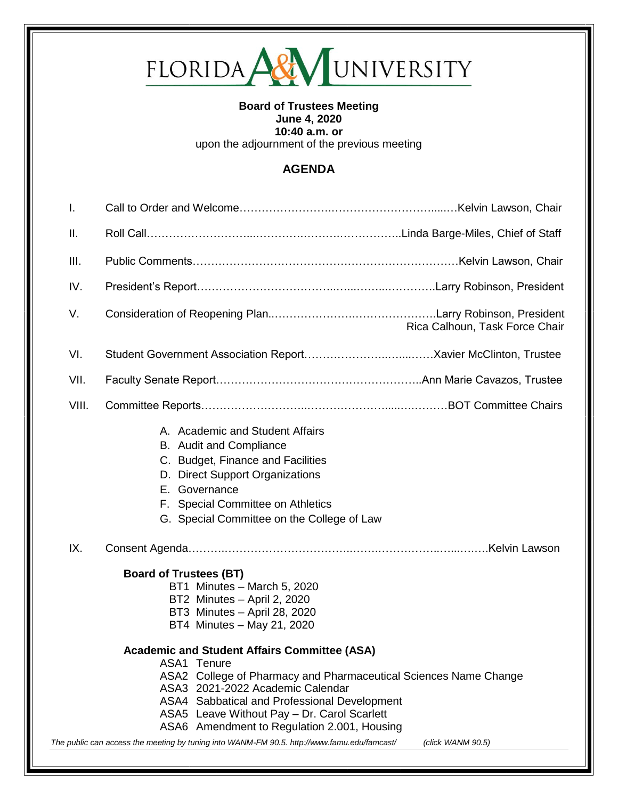

#### **Board of Trustees Meeting June 4, 2020 10:40 a.m. or**  upon the adjournment of the previous meeting

# **AGENDA**

| Τ.                                                                                                                                                                                                                                                                                                                                                                                                                                           |                                                                                                                                                                                                     |                                |
|----------------------------------------------------------------------------------------------------------------------------------------------------------------------------------------------------------------------------------------------------------------------------------------------------------------------------------------------------------------------------------------------------------------------------------------------|-----------------------------------------------------------------------------------------------------------------------------------------------------------------------------------------------------|--------------------------------|
| Ш.                                                                                                                                                                                                                                                                                                                                                                                                                                           |                                                                                                                                                                                                     |                                |
| III.                                                                                                                                                                                                                                                                                                                                                                                                                                         |                                                                                                                                                                                                     |                                |
| IV.                                                                                                                                                                                                                                                                                                                                                                                                                                          |                                                                                                                                                                                                     |                                |
| V.                                                                                                                                                                                                                                                                                                                                                                                                                                           |                                                                                                                                                                                                     | Rica Calhoun, Task Force Chair |
| VI.                                                                                                                                                                                                                                                                                                                                                                                                                                          |                                                                                                                                                                                                     |                                |
| VII.                                                                                                                                                                                                                                                                                                                                                                                                                                         |                                                                                                                                                                                                     |                                |
| VIII.                                                                                                                                                                                                                                                                                                                                                                                                                                        |                                                                                                                                                                                                     |                                |
|                                                                                                                                                                                                                                                                                                                                                                                                                                              | B. Audit and Compliance<br>C. Budget, Finance and Facilities<br>D. Direct Support Organizations<br>E. Governance<br>F. Special Committee on Athletics<br>G. Special Committee on the College of Law |                                |
| IX.                                                                                                                                                                                                                                                                                                                                                                                                                                          |                                                                                                                                                                                                     |                                |
|                                                                                                                                                                                                                                                                                                                                                                                                                                              | <b>Board of Trustees (BT)</b><br>BT1 Minutes - March 5, 2020<br>BT2 Minutes - April 2, 2020<br>BT3 Minutes - April 28, 2020<br>BT4 Minutes - May 21, 2020                                           |                                |
| <b>Academic and Student Affairs Committee (ASA)</b><br>ASA1 Tenure<br>ASA2 College of Pharmacy and Pharmaceutical Sciences Name Change<br>ASA3 2021-2022 Academic Calendar<br>ASA4 Sabbatical and Professional Development<br>ASA5 Leave Without Pay - Dr. Carol Scarlett<br>ASA6 Amendment to Regulation 2.001, Housing<br>The public can access the meeting by tuning into WANM-FM 90.5. http://www.famu.edu/famcast/<br>(click WANM 90.5) |                                                                                                                                                                                                     |                                |